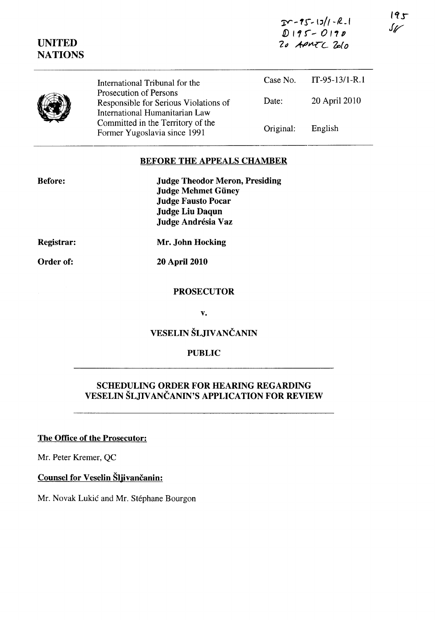| $20 - 95 - 13/1 - R - 1$ |
|--------------------------|
| $D195 - 0190$            |
| 20 APMTC Zolo            |

| <b>UNITED</b><br><b>NATIONS</b> |                                                                                                   | 20 APMTC Zolo |                  |
|---------------------------------|---------------------------------------------------------------------------------------------------|---------------|------------------|
|                                 | International Tribunal for the                                                                    | Case No.      | $IT-95-13/1-R.1$ |
|                                 | Prosecution of Persons<br>Responsible for Serious Violations of<br>International Humanitarian Law | Date:         | 20 April 2010    |
|                                 | Committed in the Territory of the<br>Former Yugoslavia since 1991                                 | Original:     | English          |

#### BEFORE THE APPEALS CHAMBER

| <b>Judge Theodor Meron, Presiding</b> |
|---------------------------------------|
| <b>Judge Mehmet Güney</b>             |
| <b>Judge Fausto Pocar</b>             |
| <b>Judge Liu Daqun</b>                |
| Judge Andrésia Vaz                    |

Registrar:

Order of:

Before:

20 April 2010

Mr. John Hocking

#### **PROSECUTOR**

v.

## VESELIN ŠLJIVANČANIN

#### PUBLIC

# SCHEDULING ORDER FOR HEARING REGARDING VESELIN ŠLJIV ANČANIN'S APPLICATION FOR REVIEW

## The Office of the Prosecutor:

Mr. Peter Kremer, QC

## Counsel for Veselin Šljivančanin:

Mr. Novak Lukić and Mr. Stéphane Bourgon

 $195$  $\mathcal{S}_{\mathscr{U}}$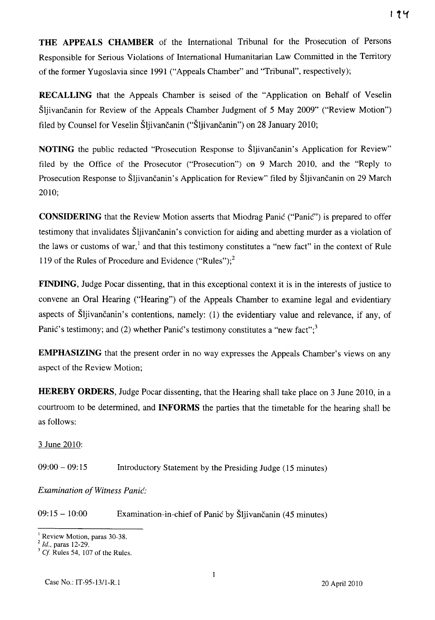**THE APPEALS CHAMBER** of the International Tribunal for the Prosecution of Persons Responsible for Serious Violations of International Humanitarian Law Committed in the Territory of the former Yugoslavia since 1991 ("Appeals Chamber" and "Tribunal", respectively);

**RECALLING** that the Appeals Chamber is seised of the "Application on Behalf of Veselin Šljivančanin for Review of the Appeals Chamber Judgment of 5 May 2009" ("Review Motion") filed by Counsel for Veselin Šljivančanin ("Šljivančanin") on 28 January 2010;

**NOTING** the public redacted "Prosecution Response to Šljivančanin's Application for Review" filed by the Office of the Prosecutor ("Prosecution") on 9 March 2010, and the "Reply to Prosecution Response to Šljivančanin's Application for Review" filed by Šljivančanin on 29 March 2010;

**CONSIDERING** that the Review Motion asserts that Miodrag Panić ("Panić") is prepared to offer testimony that invalidates Šljivančanin's conviction for aiding and abetting murder as a violation of the laws or customs of war,<sup>1</sup> and that this testimony constitutes a "new fact" in the context of Rule 119 of the Rules of Procedure and Evidence ("Rules");<sup>2</sup>

**FINDING,** Judge Pocar dissenting, that in this exceptional context it is in the interests of justice to convene an Oral Hearing ("Hearing") of the Appeals Chamber to examine legal and evidentiary aspects of Šljivančanin's contentions, namely: (1) the evidentiary value and relevance, if any, of Panić's testimony; and (2) whether Panić's testimony constitutes a "new fact";<sup>3</sup>

**EMPHASIZING** that the present order in no way expresses the Appeals Chamber's views on any aspect of the Review Motion;

**HEREBY ORDERS,** Judge Pocar dissenting, that the Hearing shall take place on 3 June 2010, in a courtroom to be determined, and **INFORMS** the parties that the timetable for the hearing shall be as follows:

### 3 June 2010:

09:00 - 09:15 Introductory Statement by the Presiding Judge (15 minutes)

### *Examination of Witness* Panić:

09: 15 - 10:00 Examination-in-chief of Panić by Šljivančanin (45 minutes)

<sup>&</sup>lt;sup>1</sup> Review Motion, paras 30-38.

<sup>2</sup>*ld.,* paras 12-29.

*Cf.* Rules 54, 107 of the Rules.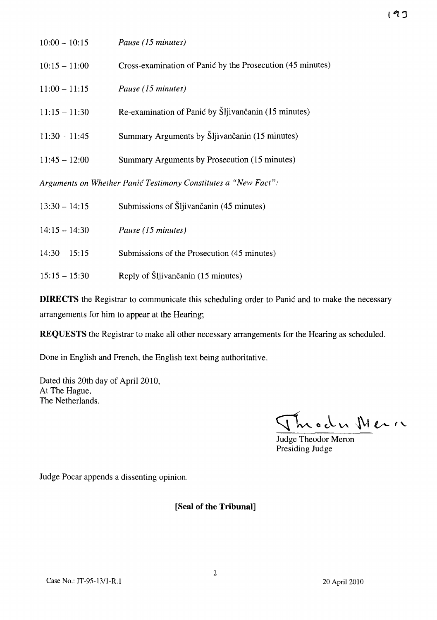| $10:00 - 10:15$                                                | Pause (15 minutes)                                         |  |  |
|----------------------------------------------------------------|------------------------------------------------------------|--|--|
| $10:15 - 11:00$                                                | Cross-examination of Panić by the Prosecution (45 minutes) |  |  |
| $11:00 - 11:15$                                                | Pause (15 minutes)                                         |  |  |
| $11:15 - 11:30$                                                | Re-examination of Panić by Šljivančanin (15 minutes)       |  |  |
| $11:30 - 11:45$                                                | Summary Arguments by Šljivančanin (15 minutes)             |  |  |
| $11:45 - 12:00$                                                | Summary Arguments by Prosecution (15 minutes)              |  |  |
| Arguments on Whether Panić Testimony Constitutes a "New Fact": |                                                            |  |  |

| $13:30 - 14:15$ | Submissions of Šljivančanin (45 minutes)    |
|-----------------|---------------------------------------------|
| $14:15 - 14:30$ | Pause (15 minutes)                          |
| $14:30 - 15:15$ | Submissions of the Prosecution (45 minutes) |
| $15:15 - 15:30$ | Reply of Šljivančanin (15 minutes)          |

**DIRECTS** the Registrar to communicate this scheduling order to Panić and to make the necessary arrangements for him to appear at the Hearing;

**REQUESTS** the Registrar to make all other necessary arrangements for the Hearing as scheduled.

Done in English and French, the English text being authoritative.

Dated this 20th day of April 2010, At The Hague, The Netherlands.

Throdu Meri

Judge Theodor Meron Presiding Judge

Judge Pocar appends a dissenting opinion.

#### **[Seal of the Tribunal]**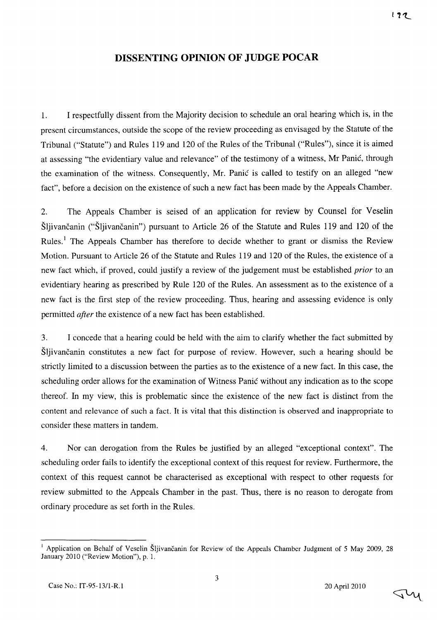## **DISSENTING OPINION OF JUDGE POCAR**

1. Irespectfully dissent from the Majority decision to schedule an oral hearing which is, in the present circumstances, outside the scope of the review proceeding as envisaged by the Statute of the Tribunal ("Statute") and Rules 119 and 120 of the Rules of the Tribunal ("Rules"), since it is aimed at assessing "the evidentiary value and relevance" of the testimony of a witness, Mr Panić, through the examination of the witness. Consequently, Mr. Panić is called to testify on an alleged "new fact", before a decision on the existence of such a new fact has been made by the Appeals Chamber.

2. The Appeals Chamber is seised of an application for review by Counsel for Veselin Šljivančanin ("Šljivančanin") pursuant to Article 26 of the Statute and Rules 119 and 120 of the Rules.<sup>1</sup> The Appeals Chamber has therefore to decide whether to grant or dismiss the Review Motion. Pursuant to Article 26 of the Statute and Rules 119 and 120 of the Rules, the existence of a new fact which, if proved, could justify a review of the judgement must be established *prior* to an evidentiary hearing as prescribed by Rule 120 of the Rules. An assessment as to the existence of a new fact is the first step of the review proceeding. Thus, hearing and assessing evidence is only permitted *after* the existence of a new fact has been established.

3. I concede that a hearing could be held with the aim to clarify whether the fact submitted by Šljivančanin constitutes a new fact for purpose of review. However, such a hearing should be strictly limited to a discussion between the parties as to the existence of a new fact. In this case, the scheduling order allows for the examination of Witness Panić without any indication as to the scope thereof. In my view, this is problematic since the existence of the new fact is distinct from the content and relevance of such a fact. It is vital that this distinction is observed and inappropriate to consider these matters in tandem.

4. Nor can derogation from the Rules be justified by an alleged "exceptional context". The scheduling order fails to identify the exceptional context of this request for review. Furthermore, the context of this request cannot be characterised as exceptional with respect to other requests for review submitted to the Appeals Chamber in the past. Thus, there is no reason to derogate from ordinary procedure as set forth in the Rules.

3

<sup>&</sup>lt;sup>1</sup> Application on Behalf of Veselin Šljivančanin for Review of the Appeals Chamber Judgment of 5 May 2009, 28 January 2010 ("Review Motion"), p. 1.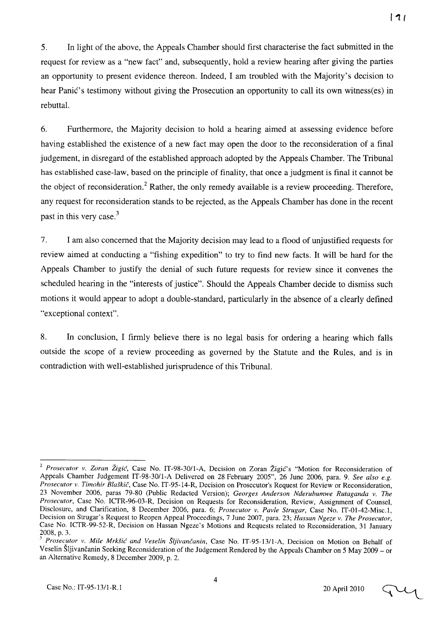5. In light of the above, the Appeals Chamber should first characterise the fact submitted in the request for review as a "new fact" and, subsequently, hold a review hearing after giving the parties an opportunity to present evidence thereon. Indeed, I am troubled with the Majority's decision to hear Panić's testimony without giving the Prosecution an opportunity to call its own witness(es) in rebuttal.

6. Furthermore, the Majority decision to hold a hearing aimed at assessing evidence before having established the existence of a new fact may open the door to the reconsideration of a final judgement, in disregard of the established approach adopted by the Appeals Chamber. The Tribunal has established case-law, based on the principle of finality, that once a judgment is final it cannot be the object of reconsideration.<sup>2</sup> Rather, the only remedy available is a review proceeding. Therefore, any request for reconsideration stands to be rejected, as the Appeals Chamber has done in the recent past in this very case.<sup>3</sup>

7. I am also concerned that the Majority decision may lead to a flood of unjustified requests for review aimed at conducting a "fishing expedition" to try to find new facts. It will be hard for the Appeals Chamber to justify the denial of such future requests for review since it convenes the scheduled hearing in the "interests of justice". Should the Appeals Chamber decide to dismiss such motions it would appear to adopt a double-standard, particularly in the absence of a clearly defined "exceptional context".

8. In conclusion, I firmly believe there is no legal basis for ordering a hearing which falls outside the scope of a review proceeding as governed by the Statute and the Rules, and is in contradiction with well-established jurisprudence of this Tribunal.

<sup>&</sup>lt;sup>2</sup> Prosecutor v. Zoran Žigić, Case No. IT-98-30/1-A, Decision on Zoran Žigić's "Motion for Reconsideration of Appeals Chamber Judgement IT-98-30/l-A Delivered on 28 February 2005", 26 June 2006, para. 9. *See also e.g. Prosecutor v. Timohir* Blaškič, Case No. IT-95-14-R, Decision on Prosecutor's Request for Review or Reconsideration, 23 November 2006, paras 79-80 (Public Redacted Version); *Georges Anderson Nderubumwe Rutaganda v. The Prosecutor,* Case No. ICTR-96-03-R, Decision on Requests for Reconsideration, Review, Assignment of Counsel, Disclosure, and Clarification, 8 December 2006, para. 6; *Prosecutor v. Pavle Strugar,* Case No. IT-01-42-Misc.l, Decision on Strugar's Request to Reopen Appeal Proceedings, 7 June 2007, para. 23; *Hassan Ngeze v. The Prosecutor,*  Case No. ICTR-99-52-R, Decision on Hassan Ngeze's Motions and Requests related to Reconsideration, 31 January 2008, p. 3.

*<sup>3</sup> Prosa·utor v. Mile* Mrkšić' *and Veselin* Šljivančanin, Case No. IT-95-13I1-A, Decision on Motion on Behalf of Veselin Šljivančanin Seeking Reconsideration of the Judgement Rendered by the Appeals Chamber on 5 May 2009 - or an Alternative Remedy, 8 December 2009, p. 2.